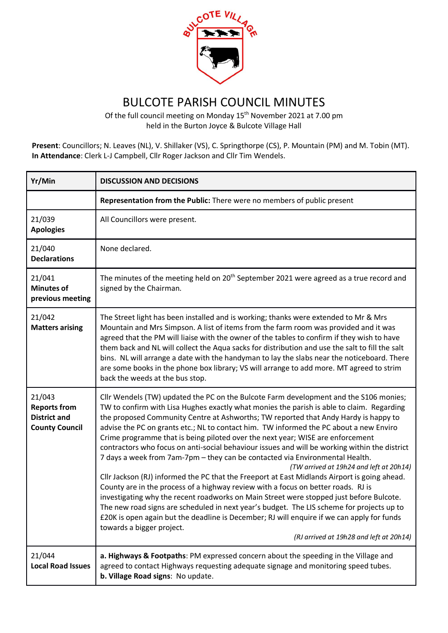

## BULCOTE PARISH COUNCIL MINUTES

Of the full council meeting on Monday 15<sup>th</sup> November 2021 at 7.00 pm held in the Burton Joyce & Bulcote Village Hall

**Present**: Councillors; N. Leaves (NL), V. Shillaker (VS), C. Springthorpe (CS), P. Mountain (PM) and M. Tobin (MT). **In Attendance**: Clerk L-J Campbell, Cllr Roger Jackson and Cllr Tim Wendels.

| Yr/Min                                                                        | <b>DISCUSSION AND DECISIONS</b>                                                                                                                                                                                                                                                                                                                                                                                                                                                                                                                                                                                                                                                                                                                                                                                                                                                                                                                                                                                                                                                                                                                                                                                                      |
|-------------------------------------------------------------------------------|--------------------------------------------------------------------------------------------------------------------------------------------------------------------------------------------------------------------------------------------------------------------------------------------------------------------------------------------------------------------------------------------------------------------------------------------------------------------------------------------------------------------------------------------------------------------------------------------------------------------------------------------------------------------------------------------------------------------------------------------------------------------------------------------------------------------------------------------------------------------------------------------------------------------------------------------------------------------------------------------------------------------------------------------------------------------------------------------------------------------------------------------------------------------------------------------------------------------------------------|
|                                                                               | Representation from the Public: There were no members of public present                                                                                                                                                                                                                                                                                                                                                                                                                                                                                                                                                                                                                                                                                                                                                                                                                                                                                                                                                                                                                                                                                                                                                              |
| 21/039<br><b>Apologies</b>                                                    | All Councillors were present.                                                                                                                                                                                                                                                                                                                                                                                                                                                                                                                                                                                                                                                                                                                                                                                                                                                                                                                                                                                                                                                                                                                                                                                                        |
| 21/040<br><b>Declarations</b>                                                 | None declared.                                                                                                                                                                                                                                                                                                                                                                                                                                                                                                                                                                                                                                                                                                                                                                                                                                                                                                                                                                                                                                                                                                                                                                                                                       |
| 21/041<br><b>Minutes of</b><br>previous meeting                               | The minutes of the meeting held on 20 <sup>th</sup> September 2021 were agreed as a true record and<br>signed by the Chairman.                                                                                                                                                                                                                                                                                                                                                                                                                                                                                                                                                                                                                                                                                                                                                                                                                                                                                                                                                                                                                                                                                                       |
| 21/042<br><b>Matters arising</b>                                              | The Street light has been installed and is working; thanks were extended to Mr & Mrs<br>Mountain and Mrs Simpson. A list of items from the farm room was provided and it was<br>agreed that the PM will liaise with the owner of the tables to confirm if they wish to have<br>them back and NL will collect the Aqua sacks for distribution and use the salt to fill the salt<br>bins. NL will arrange a date with the handyman to lay the slabs near the noticeboard. There<br>are some books in the phone box library; VS will arrange to add more. MT agreed to strim<br>back the weeds at the bus stop.                                                                                                                                                                                                                                                                                                                                                                                                                                                                                                                                                                                                                         |
| 21/043<br><b>Reports from</b><br><b>District and</b><br><b>County Council</b> | Cllr Wendels (TW) updated the PC on the Bulcote Farm development and the S106 monies;<br>TW to confirm with Lisa Hughes exactly what monies the parish is able to claim. Regarding<br>the proposed Community Centre at Ashworths; TW reported that Andy Hardy is happy to<br>advise the PC on grants etc.; NL to contact him. TW informed the PC about a new Enviro<br>Crime programme that is being piloted over the next year; WISE are enforcement<br>contractors who focus on anti-social behaviour issues and will be working within the district<br>7 days a week from 7am-7pm - they can be contacted via Environmental Health.<br>(TW arrived at 19h24 and left at 20h14)<br>Cllr Jackson (RJ) informed the PC that the Freeport at East Midlands Airport is going ahead.<br>County are in the process of a highway review with a focus on better roads. RJ is<br>investigating why the recent roadworks on Main Street were stopped just before Bulcote.<br>The new road signs are scheduled in next year's budget. The LIS scheme for projects up to<br>£20K is open again but the deadline is December; RJ will enquire if we can apply for funds<br>towards a bigger project.<br>(RJ arrived at 19h28 and left at 20h14) |
| 21/044<br><b>Local Road Issues</b>                                            | a. Highways & Footpaths: PM expressed concern about the speeding in the Village and<br>agreed to contact Highways requesting adequate signage and monitoring speed tubes.<br>b. Village Road signs: No update.                                                                                                                                                                                                                                                                                                                                                                                                                                                                                                                                                                                                                                                                                                                                                                                                                                                                                                                                                                                                                       |